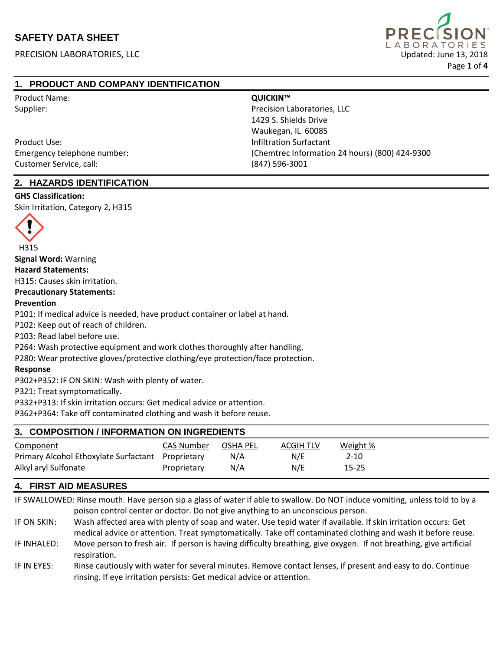PRECISION LABORATORIES, LLC Updated: June 13, 2018



# **1. PRODUCT AND COMPANY IDENTIFICATION**

| <b>Product Name:</b>        | QUICKIN™                                       |
|-----------------------------|------------------------------------------------|
| Supplier:                   | Precision Laboratories, LLC                    |
|                             | 1429 S. Shields Drive                          |
|                             | Waukegan, IL 60085                             |
| Product Use:                | Infiltration Surfactant                        |
| Emergency telephone number: | (Chemtrec Information 24 hours) (800) 424-9300 |
| Customer Service, call:     | (847) 596-3001                                 |

# **2. HAZARDS IDENTIFICATION**

# **GHS Classification:**

Skin Irritation, Category 2, H315



**Signal Word:** Warning

**Hazard Statements:**

H315: Causes skin irritation.

#### **Precautionary Statements:**

#### **Prevention**

P101: If medical advice is needed, have product container or label at hand.

P102: Keep out of reach of children.

P103: Read label before use.

P264: Wash protective equipment and work clothes thoroughly after handling.

P280: Wear protective gloves/protective clothing/eye protection/face protection.

#### **Response**

P302+P352: IF ON SKIN: Wash with plenty of water.

P321: Treat symptomatically.

P332+P313: If skin irritation occurs: Get medical advice or attention.

P362+P364: Take off contaminated clothing and wash it before reuse.

## **3. COMPOSITION / INFORMATION ON INGREDIENTS**

| Component                                         | CAS Number  | <b>OSHA PEL</b> | <b>ACGIH TLV</b> | Weight % |
|---------------------------------------------------|-------------|-----------------|------------------|----------|
| Primary Alcohol Ethoxylate Surfactant Proprietary |             | N/A             | N/E              | 2-10     |
| Alkyl aryl Sulfonate                              | Proprietary | N/A             | N/E              | 15-25    |

## **4. FIRST AID MEASURES**

IF SWALLOWED: Rinse mouth. Have person sip a glass of water if able to swallow. Do NOT induce vomiting, unless told to by a poison control center or doctor. Do not give anything to an unconscious person.

IF ON SKIN: Wash affected area with plenty of soap and water. Use tepid water if available. If skin irritation occurs: Get medical advice or attention. Treat symptomatically. Take off contaminated clothing and wash it before reuse. IF INHALED: Move person to fresh air. If person is having difficulty breathing, give oxygen. If not breathing, give artificial respiration.

IF IN EYES: Rinse cautiously with water for several minutes. Remove contact lenses, if present and easy to do. Continue rinsing. If eye irritation persists: Get medical advice or attention.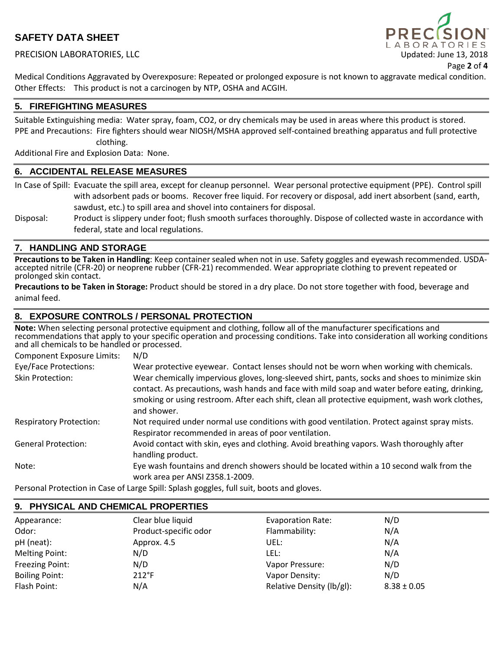### PRECISION LABORATORIES, LLC Updated: June 13, 2018



Page **2** of **4**

Medical Conditions Aggravated by Overexposure: Repeated or prolonged exposure is not known to aggravate medical condition. Other Effects: This product is not a carcinogen by NTP, OSHA and ACGIH.

#### **5. FIREFIGHTING MEASURES**

Suitable Extinguishing media: Water spray, foam, CO2, or dry chemicals may be used in areas where this product is stored. PPE and Precautions: Fire fighters should wear NIOSH/MSHA approved self-contained breathing apparatus and full protective clothing.

Additional Fire and Explosion Data: None.

#### **6. ACCIDENTAL RELEASE MEASURES**

In Case of Spill: Evacuate the spill area, except for cleanup personnel. Wear personal protective equipment (PPE). Control spill with adsorbent pads or booms. Recover free liquid. For recovery or disposal, add inert absorbent (sand, earth, sawdust, etc.) to spill area and shovel into containers for disposal.

Disposal: Product is slippery under foot; flush smooth surfaces thoroughly. Dispose of collected waste in accordance with federal, state and local regulations.

#### **7. HANDLING AND STORAGE**

Precautions to be Taken in Handling: Keep container sealed when not in use. Safety goggles and eyewash recommended. USDA-<br>accepted nitrile (CFR-20) or neoprene rubber (CFR-21) recommended. Wear appropriate clothing to prev prolonged skin contact.

**Precautions to be Taken in Storage:** Product should be stored in a dry place. Do not store together with food, beverage and animal feed.

#### **8. EXPOSURE CONTROLS / PERSONAL PROTECTION**

**Note:** When selecting personal protective equipment and clothing, follow all of the manufacturer specifications and recommendations that apply to your specific operation and processing conditions. Take into consideration all working conditions and all chemicals to be handled or processed.

| <b>Component Exposure Limits:</b> | N/D                                                                                                                                                                                                                                                                                                                |
|-----------------------------------|--------------------------------------------------------------------------------------------------------------------------------------------------------------------------------------------------------------------------------------------------------------------------------------------------------------------|
| Eye/Face Protections:             | Wear protective eyewear. Contact lenses should not be worn when working with chemicals.                                                                                                                                                                                                                            |
| Skin Protection:                  | Wear chemically impervious gloves, long-sleeved shirt, pants, socks and shoes to minimize skin<br>contact. As precautions, wash hands and face with mild soap and water before eating, drinking,<br>smoking or using restroom. After each shift, clean all protective equipment, wash work clothes,<br>and shower. |
| <b>Respiratory Protection:</b>    | Not required under normal use conditions with good ventilation. Protect against spray mists.<br>Respirator recommended in areas of poor ventilation.                                                                                                                                                               |
| <b>General Protection:</b>        | Avoid contact with skin, eyes and clothing. Avoid breathing vapors. Wash thoroughly after<br>handling product.                                                                                                                                                                                                     |
| Note:                             | Eye wash fountains and drench showers should be located within a 10 second walk from the<br>work area per ANSI Z358.1-2009.                                                                                                                                                                                        |
|                                   | na de la final de la final de la final de la final de la final de la final de la final de la final de la final                                                                                                                                                                                                     |

Personal Protection in Case of Large Spill: Splash goggles, full suit, boots and gloves.

| 9. PHYSICAL AND CHEMICAL PROPERTIES |                       |                           |                 |  |
|-------------------------------------|-----------------------|---------------------------|-----------------|--|
| Appearance:                         | Clear blue liquid     | <b>Evaporation Rate:</b>  | N/D             |  |
| Odor:                               | Product-specific odor | Flammability:             | N/A             |  |
| pH (neat):                          | Approx. 4.5           | UEL:                      | N/A             |  |
| <b>Melting Point:</b>               | N/D                   | LEL:                      | N/A             |  |
| Freezing Point:                     | N/D                   | Vapor Pressure:           | N/D             |  |
| <b>Boiling Point:</b>               | $212^{\circ}F$        | Vapor Density:            | N/D             |  |
| Flash Point:                        | N/A                   | Relative Density (lb/gl): | $8.38 \pm 0.05$ |  |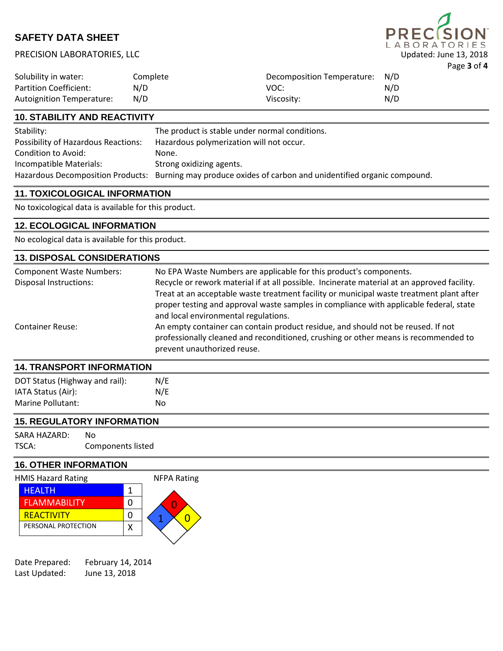# PRECISION LABORATORIES, LLC Updated: June 13, 2018



| Solubility in water:             | Complete | Decomposition Temperature: N/D |     |
|----------------------------------|----------|--------------------------------|-----|
| <b>Partition Coefficient:</b>    | N/D      | VOC:                           | N/D |
| <b>Autoignition Temperature:</b> | N/D      | Viscosity:                     | N/D |

### **10. STABILITY AND REACTIVITY**

| Stability:                                 | The product is stable under normal conditions.                                                            |
|--------------------------------------------|-----------------------------------------------------------------------------------------------------------|
| <b>Possibility of Hazardous Reactions:</b> | Hazardous polymerization will not occur.                                                                  |
| Condition to Avoid:                        | None.                                                                                                     |
| Incompatible Materials:                    | Strong oxidizing agents.                                                                                  |
|                                            | Hazardous Decomposition Products: Burning may produce oxides of carbon and unidentified organic compound. |

#### **11. TOXICOLOGICAL INFORMATION**

No toxicological data is available for this product.

## **12. ECOLOGICAL INFORMATION**

No ecological data is available for this product.

| <b>13. DISPOSAL CONSIDERATIONS</b> |                                                                                                                                                                                                        |  |  |
|------------------------------------|--------------------------------------------------------------------------------------------------------------------------------------------------------------------------------------------------------|--|--|
| <b>Component Waste Numbers:</b>    | No EPA Waste Numbers are applicable for this product's components.                                                                                                                                     |  |  |
| <b>Disposal Instructions:</b>      | Recycle or rework material if at all possible. Incinerate material at an approved facility.<br>Treat at an acceptable waste treatment facility or municipal waste treatment plant after                |  |  |
|                                    | proper testing and approval waste samples in compliance with applicable federal, state<br>and local environmental regulations.                                                                         |  |  |
| <b>Container Reuse:</b>            | An empty container can contain product residue, and should not be reused. If not<br>professionally cleaned and reconditioned, crushing or other means is recommended to<br>prevent unauthorized reuse. |  |  |
| <b>14. TRANSPORT INFORMATION</b>   |                                                                                                                                                                                                        |  |  |

| DOT Status (Highway and rail): | N/E |
|--------------------------------|-----|
| IATA Status (Air):             | N/E |
| Marine Pollutant:              | No  |

# **15. REGULATORY INFORMATION**

SARA HAZARD: No TSCA: Components listed

# **16. OTHER INFORMATION**

| <b>HMIS Hazard Rating</b> | <b>NFPA Rating</b> |
|---------------------------|--------------------|
| <b>HEALTH</b>             |                    |
| <b>FLAMMABILITY</b>       |                    |
| <b>REACTIVITY</b>         |                    |
| PERSONAL PROTECTION       |                    |
|                           |                    |

| Date Prepared: | February 14, 2014 |
|----------------|-------------------|
| Last Updated:  | June 13, 2018     |